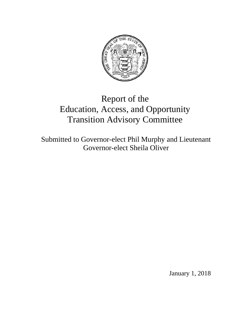

# Report of the Education, Access, and Opportunity Transition Advisory Committee

Submitted to Governor-elect Phil Murphy and Lieutenant Governor-elect Sheila Oliver

January 1, 2018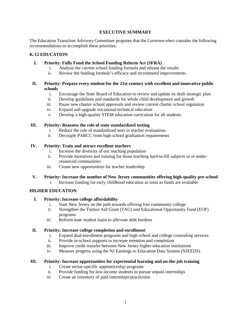## **EXECUTIVE SUMMARY**

The Education Transition Advisory Committee proposes that the Governor-elect consider the following recommendations to accomplish these priorities:

## **K-12 EDUCATION**

## **I. Priority: Fully Fund the School Funding Reform Act (SFRA)**

- i. Analyze the current school funding formula and release the results
- ii. Review the funding formula's efficacy and recommend improvements

## **II. Priority: Prepare every student for the 21st century with excellent and innovative public schools**

- i. Encourage the State Board of Education to review and update its draft strategic plan
- ii. Develop guidelines and standards for whole child development and growth
- iii. Pause new charter school approvals and review current charter school regulation
- iv. Expand and upgrade vocational-technical education
- v. Develop a high-quality STEM education curriculum for all students

## **III. Priority: Reassess the role of state standardized testing**

- i. Reduce the role of standardized tests in teacher evaluations
- ii. Decouple PARCC from high school graduation requirements

## **IV. Priority: Train and attract excellent teachers**

- i. Increase the diversity of our teaching population
- ii. Provide incentives and training for those teaching hard-to-fill subjects or in underresourced communities
- iii. Create new opportunities for teacher leadership

## **V. Priority: Increase the number of New Jersey communities offering high-quality pre-school**

i. Increase funding for early childhood education as soon as funds are available

# **HIGHER EDUCATION**

## **I. Priority: Increase college affordability**

- i. Start New Jersey on the path towards offering free community college
- ii. Strengthen the Tuition Aid Grant (TAG) and Educational Opportunity Fund (EOF) programs
- iii. Reform state student loans to alleviate debt burdens

# **II. Priority: Increase college completion and enrollment**

- i. Expand dual-enrollment programs and high school and college counseling services
- ii. Provide in-school supports to increase retention and completion
- iii. Improve credit transfer between New Jersey higher education institutions
- iv. Measure progress using the NJ Earnings to Education Data System (NJEEDS)

## **III. Priority: Increase opportunities for experiential learning and on-the-job training**

- i. Create sector-specific apprenticeship programs
- ii. Provide funding for low-income students to pursue unpaid internships
- iii. Create an inventory of paid internships/practicums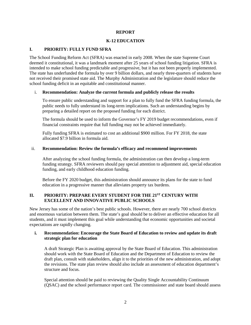#### **REPORT**

## **K-12 EDUCATION**

## **I. PRIORITY: FULLY FUND SFRA**

The School Funding Reform Act (SFRA) was enacted in early 2008. When the state Supreme Court deemed it constitutional, it was a landmark moment after 25 years of school funding litigation. SFRA is intended to make school funding predictable and progressive, but it has not been properly implemented. The state has underfunded the formula by over 9 billion dollars, and nearly three-quarters of students have not received their promised state aid. The Murphy Administration and the legislature should reduce the school funding deficit in an equitable and constitutional manner.

#### i. **Recommendation: Analyze the current formula and publicly release the results**

To ensure public understanding and support for a plan to fully fund the SFRA funding formula, the public needs to fully understand its long-term implications. Such an understanding begins by preparing a detailed report on the proposed funding for each district.

The formula should be used to inform the Governor's FY 2019 budget recommendations, even if financial constraints require that full funding may not be achieved immediately.

Fully funding SFRA is estimated to cost an additional \$900 million. For FY 2018, the state allocated \$7.9 billion in formula aid.

#### ii. **Recommendation: Review the formula's efficacy and recommend improvements**

After analyzing the school funding formula, the administration can then develop a long-term funding strategy. SFRA reviewers should pay special attention to adjustment aid, special education funding, and early childhood education funding.

Before the FY 2020 budget, this administration should announce its plans for the state to fund education in a progressive manner that alleviates property tax burdens.

# **II. PRIORITY: PREPARE EVERY STUDENT FOR THE 21ST CENTURY WITH EXCELLENT AND INNOVATIVE PUBLIC SCHOOLS**

New Jersey has some of the nation's best public schools. However, there are nearly 700 school districts and enormous variation between them. The state's goal should be to deliver an effective education for all students, and it must implement this goal while understanding that economic opportunities and societal expectations are rapidly changing.

## **i. Recommendation: Encourage the State Board of Education to review and update its draft strategic plan for education**

A draft Strategic Plan is awaiting approval by the State Board of Education. This administration should work with the State Board of Education and the Department of Education to review the draft plan, consult with stakeholders, align it to the priorities of the new administration, and adopt the revisions. The state plan review should also include an assessment of education department's structure and focus.

Special attention should be paid to reviewing the Quality Single Accountability Continuum (QSAC) and the school performance report card. The commissioner and state board should assess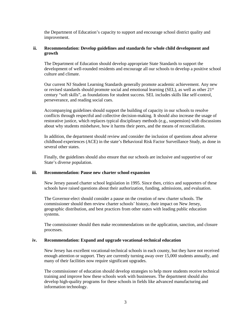the Department of Education's capacity to support and encourage school district quality and improvement.

#### **ii. Recommendation: Develop guidelines and standards for whole child development and growth**

The Department of Education should develop appropriate State Standards to support the development of well-rounded residents and encourage all our schools to develop a positive school culture and climate.

Our current NJ Student Learning Standards generally promote academic achievement. Any new or revised standards should promote social and emotional learning (SEL), as well as other  $21<sup>st</sup>$ century "soft skills", as foundations for student success. SEL includes skills like self-control, perseverance, and reading social cues.

Accompanying guidelines should support the building of capacity in our schools to resolve conflicts through respectful and collective decision-making. It should also increase the usage of restorative justice, which replaces typical disciplinary methods (e.g., suspension) with discussions about why students misbehave, how it harms their peers, and the means of reconciliation.

In addition, the department should review and consider the inclusion of questions about adverse childhood experiences (ACE) in the state's Behavioral Risk Factor Surveillance Study, as done in several other states.

Finally, the guidelines should also ensure that our schools are inclusive and supportive of our State's diverse population.

#### **iii. Recommendation: Pause new charter school expansion**

New Jersey passed charter school legislation in 1995. Since then, critics and supporters of these schools have raised questions about their authorization, funding, admissions, and evaluation.

The Governor-elect should consider a pause on the creation of new charter schools. The commissioner should then review charter schools' history, their impact on New Jersey, geographic distribution, and best practices from other states with leading public education systems.

The commissioner should then make recommendations on the application, sanction, and closure processes.

#### **iv. Recommendation: Expand and upgrade vocational-technical education**

New Jersey has excellent vocational-technical schools in each county, but they have not received enough attention or support. They are currently turning away over 15,000 students annually, and many of their facilities now require significant upgrades.

The commissioner of education should develop strategies to help more students receive technical training and improve how these schools work with businesses. The department should also develop high-quality programs for these schools in fields like advanced manufacturing and information technology.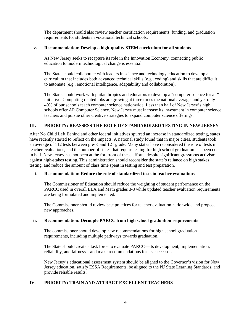The department should also review teacher certification requirements, funding, and graduation requirements for students in vocational technical schools.

## **v. Recommendation: Develop a high-quality STEM curriculum for all students**

As New Jersey seeks to recapture its role in the Innovation Economy, connecting public education to modern technological change is essential.

The State should collaborate with leaders in science and technology education to develop a curriculum that includes both advanced technical skills (e.g., coding) and skills that are difficult to automate (e.g., emotional intelligence, adaptability and collaboration).

The State should work with philanthropies and educators to develop a "computer science for all" initiative. Computing related jobs are growing at three times the national average, and yet only 40% of our schools teach computer science nationwide. Less than half of New Jersey's high schools offer AP Computer Science. New Jersey must increase its investment in computer science teachers and pursue other creative strategies to expand computer science offerings.

# **III. PRIORITY: REASSESS THE ROLE OF STANDARDIZED TESTING IN NEW JERSEY**

After No Child Left Behind and other federal initiatives spurred an increase in standardized testing, states have recently started to reflect on the impacts. A national study found that in major cities, students took an average of 112 tests between pre-K and  $12<sup>th</sup>$  grade. Many states have reconsidered the role of tests in teacher evaluations, and the number of states that require testing for high school graduation has been cut in half. New Jersey has not been at the forefront of these efforts, despite significant grassroots activism against high-stakes testing. This administration should reconsider the state's reliance on high stakes testing, and reduce the amount of class time spent in testing and test preparation.

## **i. Recommendation: Reduce the role of standardized tests in teacher evaluations**

The Commissioner of Education should reduce the weighting of student performance on the PARCC used in overall ELA and Math grades 3-8 while updated teacher evaluation requirements are being formulated and implemented.

The Commissioner should review best practices for teacher evaluation nationwide and propose new approaches.

## **ii. Recommendation: Decouple PARCC from high school graduation requirements**

The commissioner should develop new recommendations for high school graduation requirements, including multiple pathways towards graduation.

The State should create a task force to evaluate PARCC—its development, implementation, reliability, and fairness—and make recommendations for its successor.

New Jersey's educational assessment system should be aligned to the Governor's vision for New Jersey education, satisfy ESSA Requirements, be aligned to the NJ State Learning Standards, and provide reliable results.

## **IV. PRIORITY: TRAIN AND ATTRACT EXCELLENT TEACHERS**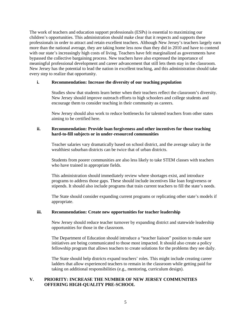The work of teachers and education support professionals (ESPs) is essential to maximizing our children's opportunities. This administration should make clear that it respects and supports these professionals in order to attract and retain excellent teachers. Although New Jersey's teachers largely earn more than the national average, they are taking home less now than they did in 2010 and have to contend with our state's increasingly high costs of living. Teachers have felt marginalized as governments have bypassed the collective bargaining process. New teachers have also expressed the importance of meaningful professional development and career advancement that still lets them stay in the classroom. New Jersey has the potential to lead the nation in excellent teaching, and this administration should take every step to realize that opportunity.

#### **i. Recommendation: Increase the diversity of our teaching population**

Studies show that students learn better when their teachers reflect the classroom's diversity. New Jersey should improve outreach efforts to high schoolers and college students and encourage them to consider teaching in their community as careers.

New Jersey should also work to reduce bottlenecks for talented teachers from other states aiming to be certified here.

#### **ii. Recommendation: Provide loan forgiveness and other incentives for those teaching hard-to-fill subjects or in under-resourced communities**

Teacher salaries vary dramatically based on school district, and the average salary in the wealthiest suburban districts can be twice that of urban districts.

Students from poorer communities are also less likely to take STEM classes with teachers who have trained in appropriate fields.

This administration should immediately review where shortages exist, and introduce programs to address those gaps. These should include incentives like loan forgiveness or stipends. It should also include programs that train current teachers to fill the state's needs.

The State should consider expanding current programs or replicating other state's models if appropriate.

#### **iii. Recommendation: Create new opportunities for teacher leadership**

New Jersey should reduce teacher turnover by expanding district and statewide leadership opportunities for those in the classroom.

The Department of Education should introduce a "teacher liaison" position to make sure initiatives are being communicated to those most impacted. It should also create a policy fellowship program that allows teachers to create solutions for the problems they see daily.

The State should help districts expand teachers' roles. This might include creating career ladders that allow experienced teachers to remain in the classroom while getting paid for taking on additional responsibilities (e.g., mentoring, curriculum design).

## **V. PRIORITY: INCREASE THE NUMBER OF NEW JERSEY COMMUNITIES OFFERING HIGH-QUALITY PRE-SCHOOL**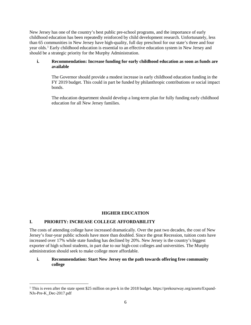New Jersey has one of the country's best public pre-school programs, and the importance of early childhood education has been repeatedly reinforced by child development research. Unfortunately, less than 65 communities in New Jersey have high-quality, full day preschool for our state's three and four year olds.[1](#page-6-0) Early childhood education is essential to an effective education system in New Jersey and should be a strategic priority for the Murphy Administration.

## **i. Recommendation: Increase funding for early childhood education as soon as funds are available**

The Governor should provide a modest increase in early childhood education funding in the FY 2019 budget. This could in part be funded by philanthropic contributions or social impact bonds.

The education department should develop a long-term plan for fully funding early childhood education for all New Jersey families.

# **HIGHER EDUCATION**

## **I. PRIORITY: INCREASE COLLEGE AFFORDABILITY**

 $\overline{\phantom{a}}$ 

The costs of attending college have increased dramatically. Over the past two decades, the cost of New Jersey's four-year public schools have more than doubled. Since the great Recession, tuition costs have increased over 17% while state funding has declined by 20%. New Jersey is the country's biggest exporter of high school students, in part due to our high-cost colleges and universities. The Murphy administration should seek to make college more affordable.

## **i. Recommendation: Start New Jersey on the path towards offering free community college**

<span id="page-6-0"></span><sup>&</sup>lt;sup>1</sup> This is even after the state spent \$25 million on pre-k in the 2018 budget. https://prekourway.org/assets/Expand-NJs-Pre-K\_Dec-2017.pdf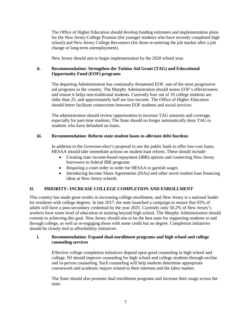The Office of Higher Education should develop funding estimates and implementation plans for the New Jersey College Promise (for younger students who have recently completed high school) and New Jersey College Reconnect (for those re-entering the job market after a job change or long-term unemployment).

New Jersey should aim to begin implementation by the 2020 school year.

## **ii. Recommendation: Strengthen the Tuition Aid Grant (TAG) and Educational Opportunity Fund (EOF) programs**

The departing Administration has continually threatened EOF, one of the most progressive aid programs in the country. The Murphy Administration should assess EOF's effectiveness and ensure it helps non-traditional students. Currently four out of 10 college students are older than 25, and approximately half are low-income. The Office of Higher Education should better facilitate connections between EOF students and social services.

The administration should review opportunities to increase TAG amounts and coverage, especially for part-time students. The State should no longer automatically deny TAG to students who have defaulted on loans.

## **iii. Recommendation: Reform state student loans to alleviate debt burdens**

In addition to the Governor-elect's proposal to use the public bank to offer low-cost loans, HESAA should take immediate actions on student loan reform. These should include:

- Creating state income-based repayment (IBR) options and connecting New Jersey borrowers to federal IBR programs
- Requiring a court order in order for HESAA to garnish wages
- Introducing Income Share Agreements (ISAs) and other novel student loan financing ideas at New Jersey schools

## **II. PRIORITY: INCREASE COLLEGE COMPLETION AND ENROLLMENT**

This country has made great strides in increasing college enrollment, and New Jersey is a national leader for residents with college degrees. In late 2017, the state launched a campaign to ensure that 65% of adults will have a post-secondary credential by the year 2025. Currently only 50.2% of New Jersey's workers have some level of education or training beyond high school. The Murphy Administration should commit to achieving this goal. New Jersey should aim to be the best state for supporting students to and through college, as well as re-engaging those with some credit but no degree. Completion initiatives should be closely tied to affordability initiatives.

## **i. Recommendation: Expand dual-enrollment programs and high school and college counseling services**

Effective college completion initiatives depend upon good counseling in high school and college. NJ should improve counseling for high school and college students through on-line and in-person counseling. Such counseling will help students determine appropriate coursework and academic majors related to their interests and the labor market.

The State should also promote dual enrollment programs and increase their usage across the state.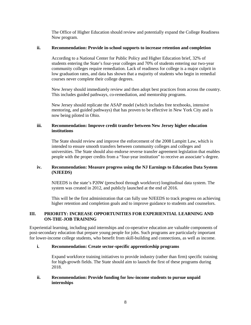The Office of Higher Education should review and potentially expand the College Readiness Now program.

## **ii. Recommendation: Provide in-school supports to increase retention and completion**

According to a National Center for Public Policy and Higher Education brief, 32% of students entering the State's four-year colleges and 70% of students entering our two-year community colleges require remediation. Lack of readiness for college is a major culprit in low graduation rates, and data has shown that a majority of students who begin in remedial courses never complete their college degrees.

New Jersey should immediately review and then adopt best practices from across the country. This includes guided pathways, co-remediation, and mentorship programs.

New Jersey should replicate the ASAP model (which includes free textbooks, intensive mentoring, and guided pathways) that has proven to be effective in New York City and is now being piloted in Ohio.

## **iii. Recommendation: Improve credit transfer between New Jersey higher education institutions**

The State should review and improve the enforcement of the 2008 Lampitt Law, which is intended to ensure smooth transfers between community colleges and colleges and universities. The State should also endorse reverse transfer agreement legislation that enables people with the proper credits from a "four-year institution" to receive an associate's degree.

## **iv. Recommendation: Measure progress using the NJ Earnings to Education Data System (NJEEDS)**

NJEEDS is the state's P20W (preschool through workforce) longitudinal data system. The system was created in 2012, and publicly launched at the end of 2016.

This will be the first administration that can fully use NJEEDS to track progress on achieving higher retention and completion goals and to improve guidance to students and counselors.

## **III. PRIORITY: INCREASE OPPORTUNITIES FOR EXPERIENTIAL LEARNING AND ON-THE-JOB TRAINING**

Experiential learning, including paid internships and co-operative education are valuable components of post-secondary education that prepare young people for jobs. Such programs are particularly important for lower-income college students, who benefit from skill-building and connections, as well as income.

## **i. Recommendation: Create sector-specific apprenticeship programs**

Expand workforce training initiatives to provide industry (rather than firm) specific training for high-growth fields. The State should aim to launch the first of these programs during 2018.

#### **ii. Recommendation: Provide funding for low-income students to pursue unpaid internships**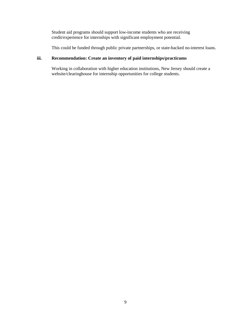Student aid programs should support low-income students who are receiving credit/experience for internships with significant employment potential.

This could be funded through public private partnerships, or state-backed no-interest loans.

# **iii. Recommendation: Create an inventory of paid internships/practicums**

Working in collaboration with higher education institutions, New Jersey should create a website/clearinghouse for internship opportunities for college students.